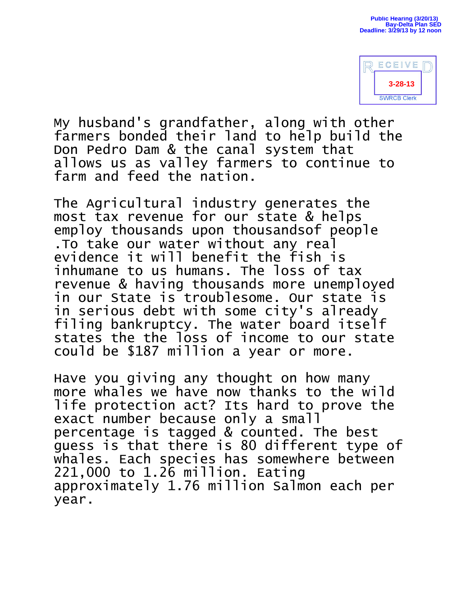

My husband's grandfather, along with other farmers bonded their land to help build the Don Pedro Dam & the canal system that allows us as valley farmers to continue to farm and feed the nation.

The Agricultural industry generates the most tax revenue for our state & helps employ thousands upon thousandsof people .To take our water without any real evidence it will benefit the fish is inhumane to us humans. The loss of tax revenue & having thousands more unemployed in our State is troublesome. Our state is in serious debt with some city's already filing bankruptcy. The water board itself states the the loss of income to our state could be \$187 million a year or more.

Have you giving any thought on how many more whales we have now thanks to the wild life protection act? Its hard to prove the exact number because only a small percentage is tagged & counted. The best guess is that there is 80 different type of whales. Each species has somewhere between 221,000 to 1.26 million. Eating approximately 1.76 million Salmon each per year.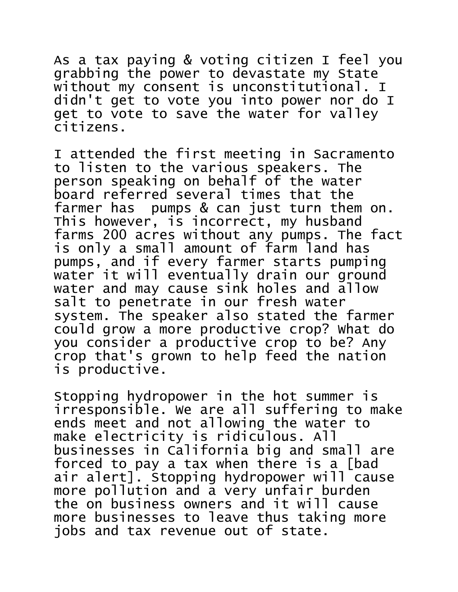As a tax paying & voting citizen I feel you grabbing the power to devastate my State without my consent is unconstitutional. I didn't get to vote you into power nor do I get to vote to save the water for valley citizens.

I attended the first meeting in Sacramento to listen to the various speakers. The person speaking on behalf of the water board referred several times that the farmer has pumps & can just turn them on. This however, is incorrect, my husband farms 200 acres without any pumps. The fact is only a small amount of farm land has pumps, and if every farmer starts pumping water it will eventually drain our ground water and may cause sink holes and allow salt to penetrate in our fresh water system. The speaker also stated the farmer could grow a more productive crop? What do you consider a productive crop to be? Any crop that's grown to help feed the nation is productive.

Stopping hydropower in the hot summer is irresponsible. We are all suffering to make ends meet and not allowing the water to make electricity is ridiculous. All businesses in California big and small are forced to pay a tax when there is a [bad air alert]. Stopping hydropower will cause more pollution and a very unfair burden the on business owners and it will cause more businesses to leave thus taking more jobs and tax revenue out of state.